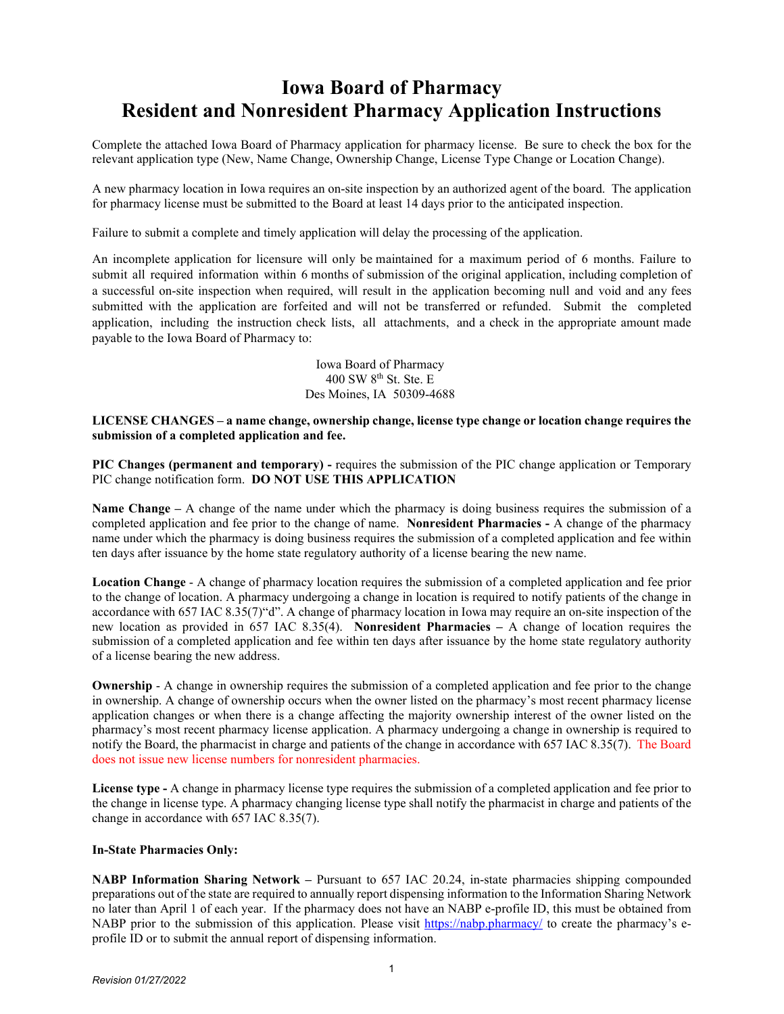## **Iowa Board of Pharmacy Resident and Nonresident Pharmacy Application Instructions**

Complete the attached Iowa Board of Pharmacy application for pharmacy license. Be sure to check the box for the relevant application type (New, Name Change, Ownership Change, License Type Change or Location Change).

A new pharmacy location in Iowa requires an on-site inspection by an authorized agent of the board. The application for pharmacy license must be submitted to the Board at least 14 days prior to the anticipated inspection.

Failure to submit a complete and timely application will delay the processing of the application.

An incomplete application for licensure will only be maintained for a maximum period of 6 months. Failure to submit all required information within 6 months of submission of the original application, including completion of a successful on-site inspection when required, will result in the application becoming null and void and any fees submitted with the application are forfeited and will not be transferred or refunded. Submit the completed application, including the instruction check lists, all attachments, and a check in the appropriate amount made payable to the Iowa Board of Pharmacy to:

> Iowa Board of Pharmacy 400 SW 8th St. Ste. E Des Moines, IA 50309-4688

**LICENSE CHANGES – a name change, ownership change, license type change or location change requires the submission of a completed application and fee.**

**PIC Changes (permanent and temporary) -** requires the submission of the PIC change application or Temporary PIC change notification form. **DO NOT USE THIS APPLICATION**

**Name Change** – A change of the name under which the pharmacy is doing business requires the submission of a completed application and fee prior to the change of name. **Nonresident Pharmacies -** A change of the pharmacy name under which the pharmacy is doing business requires the submission of a completed application and fee within ten days after issuance by the home state regulatory authority of a license bearing the new name.

**Location Change** - A change of pharmacy location requires the submission of a completed application and fee prior to the change of location. A pharmacy undergoing a change in location is required to notify patients of the change in accordance with 657 IAC 8.35(7)"d". A change of pharmacy location in Iowa may require an on-site inspection of the new location as provided in 657 IAC 8.35(4). **Nonresident Pharmacies –** A change of location requires the submission of a completed application and fee within ten days after issuance by the home state regulatory authority of a license bearing the new address.

**Ownership** - A change in ownership requires the submission of a completed application and fee prior to the change in ownership. A change of ownership occurs when the owner listed on the pharmacy's most recent pharmacy license application changes or when there is a change affecting the majority ownership interest of the owner listed on the pharmacy's most recent pharmacy license application. A pharmacy undergoing a change in ownership is required to notify the Board, the pharmacist in charge and patients of the change in accordance with 657 IAC 8.35(7). The Board does not issue new license numbers for nonresident pharmacies.

**License type -** A change in pharmacy license type requires the submission of a completed application and fee prior to the change in license type. A pharmacy changing license type shall notify the pharmacist in charge and patients of the change in accordance with 657 IAC 8.35(7).

#### **In-State Pharmacies Only:**

**NABP Information Sharing Network –** Pursuant to 657 IAC 20.24, in-state pharmacies shipping compounded preparations out of the state are required to annually report dispensing information to the Information Sharing Network no later than April 1 of each year. If the pharmacy does not have an NABP e-profile ID, this must be obtained from NABP prior to the submission of this application. Please visit<https://nabp.pharmacy/> to create the pharmacy's eprofile ID or to submit the annual report of dispensing information.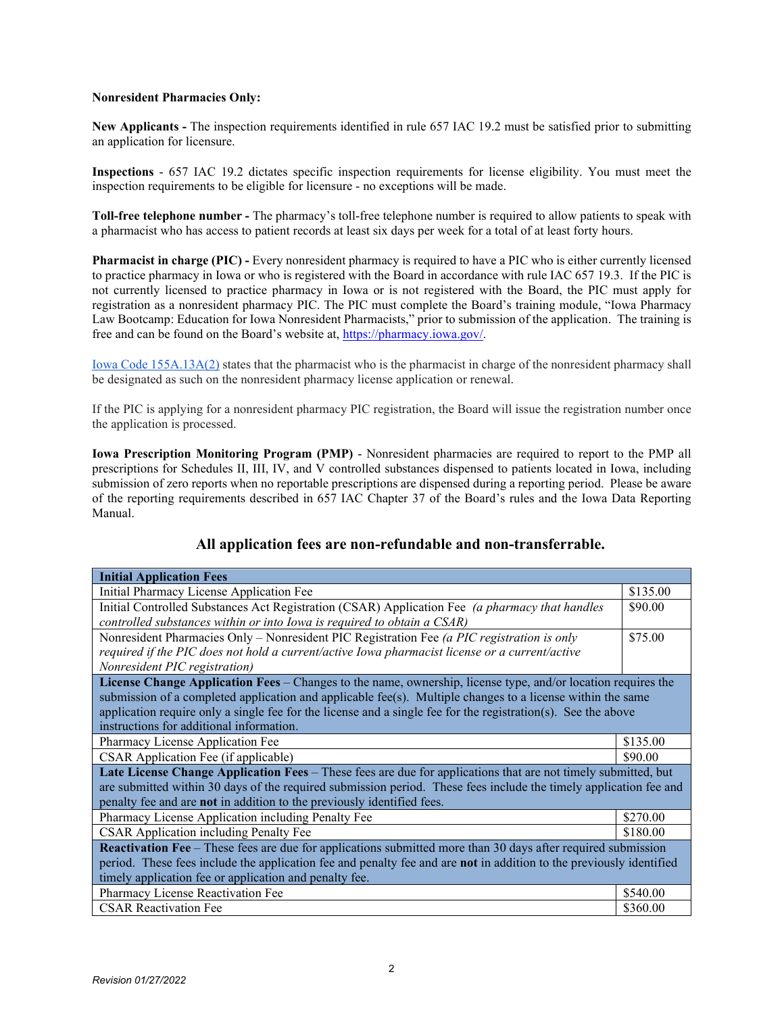#### **Nonresident Pharmacies Only:**

**New Applicants -** The inspection requirements identified in rule 657 IAC 19.2 must be satisfied prior to submitting an application for licensure.

**Inspections** - 657 IAC 19.2 dictates specific inspection requirements for license eligibility. You must meet the inspection requirements to be eligible for licensure - no exceptions will be made.

**Toll-free telephone number -** The pharmacy's toll-free telephone number is required to allow patients to speak with a pharmacist who has access to patient records at least six days per week for a total of at least forty hours.

**Pharmacist in charge (PIC) -** Every nonresident pharmacy is required to have a PIC who is either currently licensed to practice pharmacy in Iowa or who is registered with the Board in accordance with rule IAC 657 19.3. If the PIC is not currently licensed to practice pharmacy in Iowa or is not registered with the Board, the PIC must apply for registration as a nonresident pharmacy PIC. The PIC must complete the Board's training module, "Iowa Pharmacy Law Bootcamp: Education for Iowa Nonresident Pharmacists," prior to submission of the application. The training is free and can be found on the Board's website at, [https://pharmacy.iowa.gov/.](https://pharmacy.iowa.gov/)

[Iowa Code 155A.13A\(2\)](https://www.legis.iowa.gov/DOCS/ACO/IC/LINC/Chapter.155a.pdf) states that the pharmacist who is the pharmacist in charge of the nonresident pharmacy shall be designated as such on the nonresident pharmacy license application or renewal*.*

If the PIC is applying for a nonresident pharmacy PIC registration, the Board will issue the registration number once the application is processed.

**Iowa Prescription Monitoring Program (PMP)** - Nonresident pharmacies are required to report to the PMP all prescriptions for Schedules II, III, IV, and V controlled substances dispensed to patients located in Iowa, including submission of zero reports when no reportable prescriptions are dispensed during a reporting period. Please be aware of the reporting requirements described in 657 IAC Chapter 37 of the Board's rules and the Iowa Data Reporting Manual.

| <b>Initial Application Fees</b>                                                                                     |          |  |  |  |
|---------------------------------------------------------------------------------------------------------------------|----------|--|--|--|
| Initial Pharmacy License Application Fee                                                                            | \$135.00 |  |  |  |
| Initial Controlled Substances Act Registration (CSAR) Application Fee (a pharmacy that handles                      | \$90.00  |  |  |  |
| controlled substances within or into Iowa is required to obtain a CSAR)                                             |          |  |  |  |
| Nonresident Pharmacies Only - Nonresident PIC Registration Fee (a PIC registration is only                          | \$75.00  |  |  |  |
| required if the PIC does not hold a current/active Iowa pharmacist license or a current/active                      |          |  |  |  |
| Nonresident PIC registration)                                                                                       |          |  |  |  |
| License Change Application Fees – Changes to the name, ownership, license type, and/or location requires the        |          |  |  |  |
| submission of a completed application and applicable fee(s). Multiple changes to a license within the same          |          |  |  |  |
| application require only a single fee for the license and a single fee for the registration(s). See the above       |          |  |  |  |
| instructions for additional information.                                                                            |          |  |  |  |
| Pharmacy License Application Fee                                                                                    | \$135.00 |  |  |  |
| CSAR Application Fee (if applicable)                                                                                | \$90.00  |  |  |  |
| Late License Change Application Fees – These fees are due for applications that are not timely submitted, but       |          |  |  |  |
| are submitted within 30 days of the required submission period. These fees include the timely application fee and   |          |  |  |  |
| penalty fee and are not in addition to the previously identified fees.                                              |          |  |  |  |
| Pharmacy License Application including Penalty Fee                                                                  | \$270.00 |  |  |  |
| CSAR Application including Penalty Fee                                                                              | \$180.00 |  |  |  |
| <b>Reactivation Fee</b> – These fees are due for applications submitted more than 30 days after required submission |          |  |  |  |
| period. These fees include the application fee and penalty fee and are not in addition to the previously identified |          |  |  |  |
| timely application fee or application and penalty fee.                                                              |          |  |  |  |
| Pharmacy License Reactivation Fee                                                                                   | \$540.00 |  |  |  |
| <b>CSAR Reactivation Fee</b>                                                                                        | \$360.00 |  |  |  |

### **All application fees are non-refundable and non-transferrable.**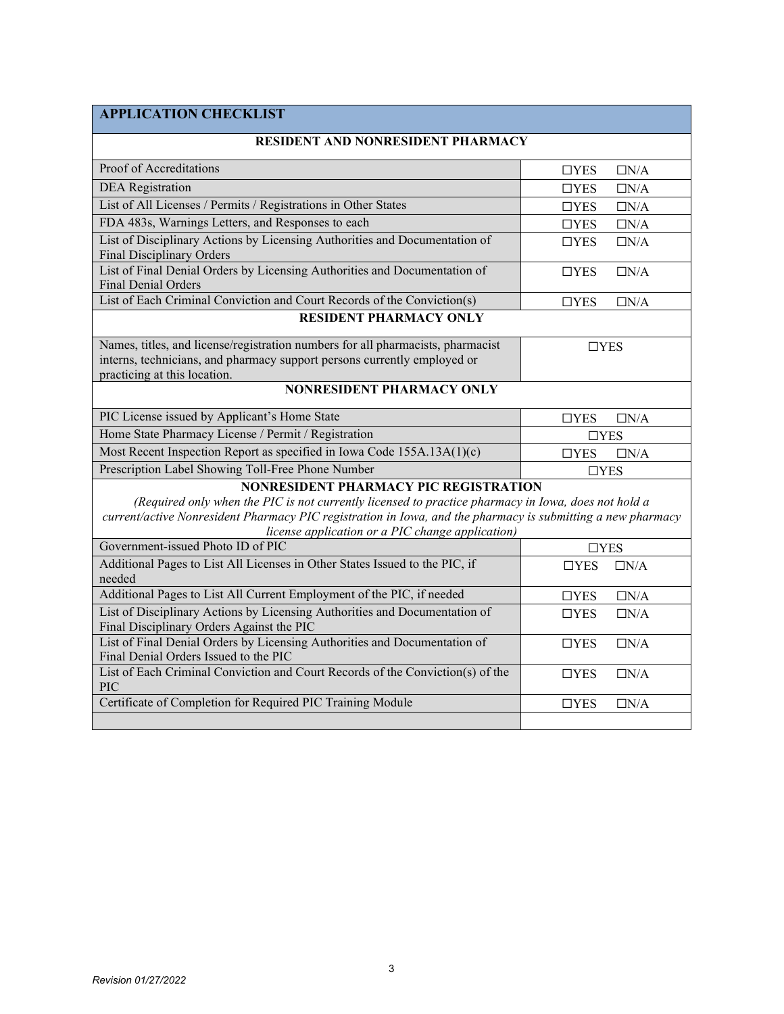## **APPLICATION CHECKLIST**

| <b>RESIDENT AND NONRESIDENT PHARMACY</b>                                                                                                                                                                                                                                                                               |                             |  |  |  |  |  |
|------------------------------------------------------------------------------------------------------------------------------------------------------------------------------------------------------------------------------------------------------------------------------------------------------------------------|-----------------------------|--|--|--|--|--|
| Proof of Accreditations                                                                                                                                                                                                                                                                                                | $\Box$ YES<br>$\Box N/A$    |  |  |  |  |  |
| <b>DEA</b> Registration                                                                                                                                                                                                                                                                                                | $\Box$ YES<br>$\Box N/A$    |  |  |  |  |  |
| List of All Licenses / Permits / Registrations in Other States                                                                                                                                                                                                                                                         | $\Box N/A$<br>$\Box$ YES    |  |  |  |  |  |
| FDA 483s, Warnings Letters, and Responses to each                                                                                                                                                                                                                                                                      | $\Box N/A$<br>$\Box$ YES    |  |  |  |  |  |
| List of Disciplinary Actions by Licensing Authorities and Documentation of<br><b>Final Disciplinary Orders</b>                                                                                                                                                                                                         | $\Box N/A$<br>$\Box$ YES    |  |  |  |  |  |
| List of Final Denial Orders by Licensing Authorities and Documentation of<br><b>Final Denial Orders</b>                                                                                                                                                                                                                | $\Box N/A$<br>$\Box$ YES    |  |  |  |  |  |
| List of Each Criminal Conviction and Court Records of the Conviction(s)                                                                                                                                                                                                                                                | $\Box N/A$<br>$\square$ YES |  |  |  |  |  |
| <b>RESIDENT PHARMACY ONLY</b>                                                                                                                                                                                                                                                                                          |                             |  |  |  |  |  |
| Names, titles, and license/registration numbers for all pharmacists, pharmacist<br>interns, technicians, and pharmacy support persons currently employed or<br>practicing at this location.                                                                                                                            | $\Box$ YES                  |  |  |  |  |  |
| <b>NONRESIDENT PHARMACY ONLY</b>                                                                                                                                                                                                                                                                                       |                             |  |  |  |  |  |
| PIC License issued by Applicant's Home State                                                                                                                                                                                                                                                                           | $\Box$ YES<br>$\Box N/A$    |  |  |  |  |  |
| Home State Pharmacy License / Permit / Registration                                                                                                                                                                                                                                                                    | $\Box$ YES                  |  |  |  |  |  |
| Most Recent Inspection Report as specified in Iowa Code 155A.13A(1)(c)                                                                                                                                                                                                                                                 | $\Box$ YES<br>$\Box N/A$    |  |  |  |  |  |
| Prescription Label Showing Toll-Free Phone Number                                                                                                                                                                                                                                                                      | $\Box$ YES                  |  |  |  |  |  |
| <b>NONRESIDENT PHARMACY PIC REGISTRATION</b><br>(Required only when the PIC is not currently licensed to practice pharmacy in Iowa, does not hold a<br>current/active Nonresident Pharmacy PIC registration in Iowa, and the pharmacy is submitting a new pharmacy<br>license application or a PIC change application) |                             |  |  |  |  |  |
| Government-issued Photo ID of PIC                                                                                                                                                                                                                                                                                      | $\Box$ YES                  |  |  |  |  |  |
| Additional Pages to List All Licenses in Other States Issued to the PIC, if<br>needed                                                                                                                                                                                                                                  | $\Box N/A$<br>$\Box$ YES    |  |  |  |  |  |
| Additional Pages to List All Current Employment of the PIC, if needed                                                                                                                                                                                                                                                  | $\Box$ YES<br>$\Box N/A$    |  |  |  |  |  |
| List of Disciplinary Actions by Licensing Authorities and Documentation of<br>Final Disciplinary Orders Against the PIC                                                                                                                                                                                                | $\Box N/A$<br>$\Box$ YES    |  |  |  |  |  |
| List of Final Denial Orders by Licensing Authorities and Documentation of<br>Final Denial Orders Issued to the PIC                                                                                                                                                                                                     | $\Box N/A$<br>$\Box$ YES    |  |  |  |  |  |
| List of Each Criminal Conviction and Court Records of the Conviction(s) of the<br>PIC                                                                                                                                                                                                                                  | $\Box$ YES<br>$\Box N/A$    |  |  |  |  |  |
| Certificate of Completion for Required PIC Training Module                                                                                                                                                                                                                                                             | $\Box N/A$<br>$\Box$ YES    |  |  |  |  |  |
|                                                                                                                                                                                                                                                                                                                        |                             |  |  |  |  |  |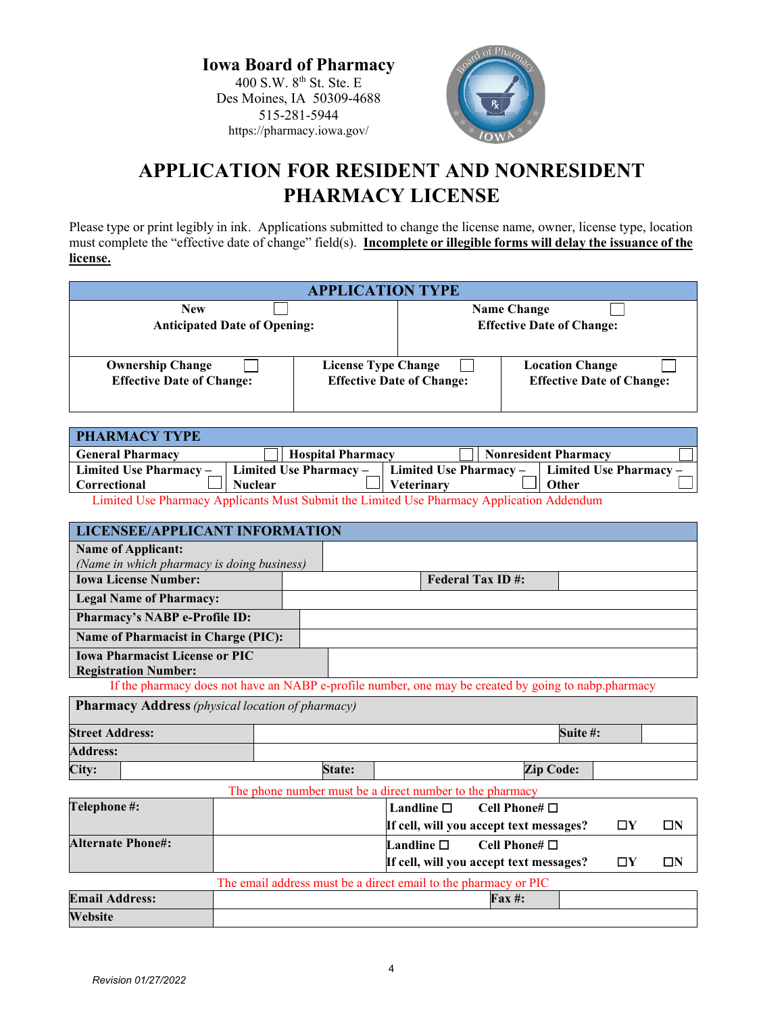**Iowa Board of Pharmacy** 400 S.W. 8th St. Ste. E Des Moines, IA 50309-4688 515-281-5944 https://pharmacy.iowa.gov/



# **APPLICATION FOR RESIDENT AND NONRESIDENT PHARMACY LICENSE**

Please type or print legibly in ink. Applications submitted to change the license name, owner, license type, location must complete the "effective date of change" field(s). **Incomplete or illegible forms will delay the issuance of the license.**

| <b>APPLICATION TYPE</b>                                     |                            |                                  |                                                            |  |
|-------------------------------------------------------------|----------------------------|----------------------------------|------------------------------------------------------------|--|
| <b>New</b><br><b>Anticipated Date of Opening:</b>           |                            |                                  | <b>Name Change</b><br><b>Effective Date of Change:</b>     |  |
| <b>Ownership Change</b><br><b>Effective Date of Change:</b> | <b>License Type Change</b> | <b>Effective Date of Change:</b> | <b>Location Change</b><br><b>Effective Date of Change:</b> |  |

| <b>PHARMACY TYPE</b>                                                                      |                          |                   |                             |                                                                          |
|-------------------------------------------------------------------------------------------|--------------------------|-------------------|-----------------------------|--------------------------------------------------------------------------|
| <b>General Pharmacy</b>                                                                   | <b>Hospital Pharmacy</b> |                   | <b>Nonresident Pharmacy</b> |                                                                          |
| Limited Use Pharmacy $-$                                                                  |                          |                   |                             | Limited Use Pharmacy –   Limited Use Pharmacy –   Limited Use Pharmacy – |
| Correctional                                                                              | <b>Nuclear</b>           | <b>Veterinary</b> |                             | Other                                                                    |
| Limited Use Pharmacy Applicants Must Submit the Limited Use Pharmacy Application Addendum |                          |                   |                             |                                                                          |

Use Pharmacy Applicants Must Submit the Limited Use Pharmacy Application Addendum

|                        | <b>LICENSEE/APPLICANT INFORMATION</b>                                                                |  |  |        |                 |  |                                                          |                  |             |          |
|------------------------|------------------------------------------------------------------------------------------------------|--|--|--------|-----------------|--|----------------------------------------------------------|------------------|-------------|----------|
|                        | <b>Name of Applicant:</b>                                                                            |  |  |        |                 |  |                                                          |                  |             |          |
|                        | (Name in which pharmacy is doing business)                                                           |  |  |        |                 |  |                                                          |                  |             |          |
|                        | <b>Iowa License Number:</b>                                                                          |  |  |        |                 |  | <b>Federal Tax ID#:</b>                                  |                  |             |          |
|                        | <b>Legal Name of Pharmacy:</b>                                                                       |  |  |        |                 |  |                                                          |                  |             |          |
|                        | <b>Pharmacy's NABP e-Profile ID:</b>                                                                 |  |  |        |                 |  |                                                          |                  |             |          |
|                        | <b>Name of Pharmacist in Charge (PIC):</b>                                                           |  |  |        |                 |  |                                                          |                  |             |          |
|                        | <b>Iowa Pharmacist License or PIC</b><br><b>Registration Number:</b>                                 |  |  |        |                 |  |                                                          |                  |             |          |
|                        | If the pharmacy does not have an NABP e-profile number, one may be created by going to nabp.pharmacy |  |  |        |                 |  |                                                          |                  |             |          |
|                        | <b>Pharmacy Address</b> (physical location of pharmacy)                                              |  |  |        |                 |  |                                                          |                  |             |          |
| <b>Street Address:</b> |                                                                                                      |  |  |        |                 |  |                                                          | Suite #:         |             |          |
| <b>Address:</b>        |                                                                                                      |  |  |        |                 |  |                                                          |                  |             |          |
| City:                  |                                                                                                      |  |  | State: |                 |  |                                                          | <b>Zip Code:</b> |             |          |
|                        |                                                                                                      |  |  |        |                 |  | The phone number must be a direct number to the pharmacy |                  |             |          |
| Telephone #:           |                                                                                                      |  |  |        | Landline $\Box$ |  | Cell Phone# $\Pi$                                        |                  |             |          |
|                        |                                                                                                      |  |  |        |                 |  | If cell, will you accept text messages?                  |                  | $\square Y$ | $\Box N$ |
|                        | <b>Alternate Phone#:</b>                                                                             |  |  |        | Landline $\Box$ |  | Cell Phone# $\square$                                    |                  |             |          |
|                        |                                                                                                      |  |  |        |                 |  | If cell, will you accept text messages?                  |                  | $\square Y$ | $\Box N$ |
|                        | The email address must be a direct email to the pharmacy or PIC                                      |  |  |        |                 |  |                                                          |                  |             |          |
| <b>Email Address:</b>  |                                                                                                      |  |  |        |                 |  | $\mathbf{Fax} \; \text{#}:$                              |                  |             |          |
| Website                |                                                                                                      |  |  |        |                 |  |                                                          |                  |             |          |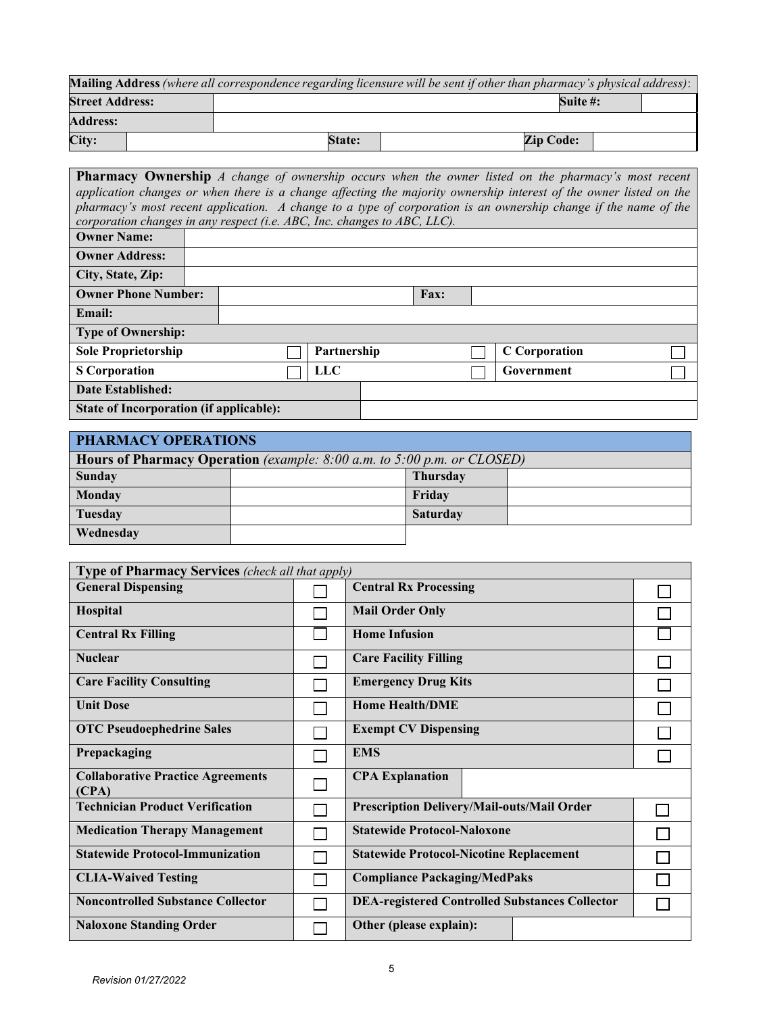|                        | <b>Mailing Address</b> (where all correspondence regarding licensure will be sent if other than pharmacy's physical address): |                  |  |
|------------------------|-------------------------------------------------------------------------------------------------------------------------------|------------------|--|
| <b>Street Address:</b> |                                                                                                                               | Suite #:         |  |
| <b>Address:</b>        |                                                                                                                               |                  |  |
| City:                  | <b>State:</b>                                                                                                                 | <b>Zip Code:</b> |  |

| <b>Pharmacy Ownership</b> A change of ownership occurs when the owner listed on the pharmacy's most recent<br>application changes or when there is a change affecting the majority ownership interest of the owner listed on the<br>pharmacy's most recent application. A change to a type of corporation is an ownership change if the name of the<br>corporation changes in any respect (i.e. ABC, Inc. changes to ABC, LLC). |  |  |             |  |      |                      |
|---------------------------------------------------------------------------------------------------------------------------------------------------------------------------------------------------------------------------------------------------------------------------------------------------------------------------------------------------------------------------------------------------------------------------------|--|--|-------------|--|------|----------------------|
| <b>Owner Name:</b>                                                                                                                                                                                                                                                                                                                                                                                                              |  |  |             |  |      |                      |
| <b>Owner Address:</b>                                                                                                                                                                                                                                                                                                                                                                                                           |  |  |             |  |      |                      |
| City, State, Zip:                                                                                                                                                                                                                                                                                                                                                                                                               |  |  |             |  |      |                      |
| <b>Owner Phone Number:</b>                                                                                                                                                                                                                                                                                                                                                                                                      |  |  |             |  | Fax: |                      |
| Email:                                                                                                                                                                                                                                                                                                                                                                                                                          |  |  |             |  |      |                      |
| <b>Type of Ownership:</b>                                                                                                                                                                                                                                                                                                                                                                                                       |  |  |             |  |      |                      |
| <b>Sole Proprietorship</b>                                                                                                                                                                                                                                                                                                                                                                                                      |  |  | Partnership |  |      | <b>C</b> Corporation |
| <b>S</b> Corporation                                                                                                                                                                                                                                                                                                                                                                                                            |  |  | <b>LLC</b>  |  |      | Government           |
| Date Established:                                                                                                                                                                                                                                                                                                                                                                                                               |  |  |             |  |      |                      |
| State of Incorporation (if applicable):                                                                                                                                                                                                                                                                                                                                                                                         |  |  |             |  |      |                      |

| PHARMACY OPERATIONS                                                                |  |                 |  |  |  |  |
|------------------------------------------------------------------------------------|--|-----------------|--|--|--|--|
| <b>Hours of Pharmacy Operation</b> (example: $8:00$ a.m. to $5:00$ p.m. or CLOSED) |  |                 |  |  |  |  |
| Sunday                                                                             |  | <b>Thursday</b> |  |  |  |  |
| Monday                                                                             |  | Friday          |  |  |  |  |
| Tuesday                                                                            |  | <b>Saturday</b> |  |  |  |  |
| Wednesday                                                                          |  |                 |  |  |  |  |

| <b>Type of Pharmacy Services</b> (check all that apply) |  |                                                       |  |  |  |  |
|---------------------------------------------------------|--|-------------------------------------------------------|--|--|--|--|
| <b>General Dispensing</b>                               |  | <b>Central Rx Processing</b>                          |  |  |  |  |
| Hospital                                                |  | <b>Mail Order Only</b>                                |  |  |  |  |
| <b>Central Rx Filling</b>                               |  | <b>Home Infusion</b>                                  |  |  |  |  |
| <b>Nuclear</b>                                          |  | <b>Care Facility Filling</b>                          |  |  |  |  |
| <b>Care Facility Consulting</b>                         |  | <b>Emergency Drug Kits</b>                            |  |  |  |  |
| <b>Unit Dose</b>                                        |  | <b>Home Health/DME</b>                                |  |  |  |  |
| <b>OTC Pseudoephedrine Sales</b>                        |  | <b>Exempt CV Dispensing</b>                           |  |  |  |  |
| Prepackaging                                            |  | <b>EMS</b>                                            |  |  |  |  |
| <b>Collaborative Practice Agreements</b><br>(CPA)       |  | <b>CPA Explanation</b>                                |  |  |  |  |
| <b>Technician Product Verification</b>                  |  | Prescription Delivery/Mail-outs/Mail Order            |  |  |  |  |
| <b>Medication Therapy Management</b>                    |  | <b>Statewide Protocol-Naloxone</b>                    |  |  |  |  |
| <b>Statewide Protocol-Immunization</b>                  |  | <b>Statewide Protocol-Nicotine Replacement</b>        |  |  |  |  |
| <b>CLIA-Waived Testing</b>                              |  | <b>Compliance Packaging/MedPaks</b>                   |  |  |  |  |
| <b>Noncontrolled Substance Collector</b>                |  | <b>DEA-registered Controlled Substances Collector</b> |  |  |  |  |
| <b>Naloxone Standing Order</b>                          |  | Other (please explain):                               |  |  |  |  |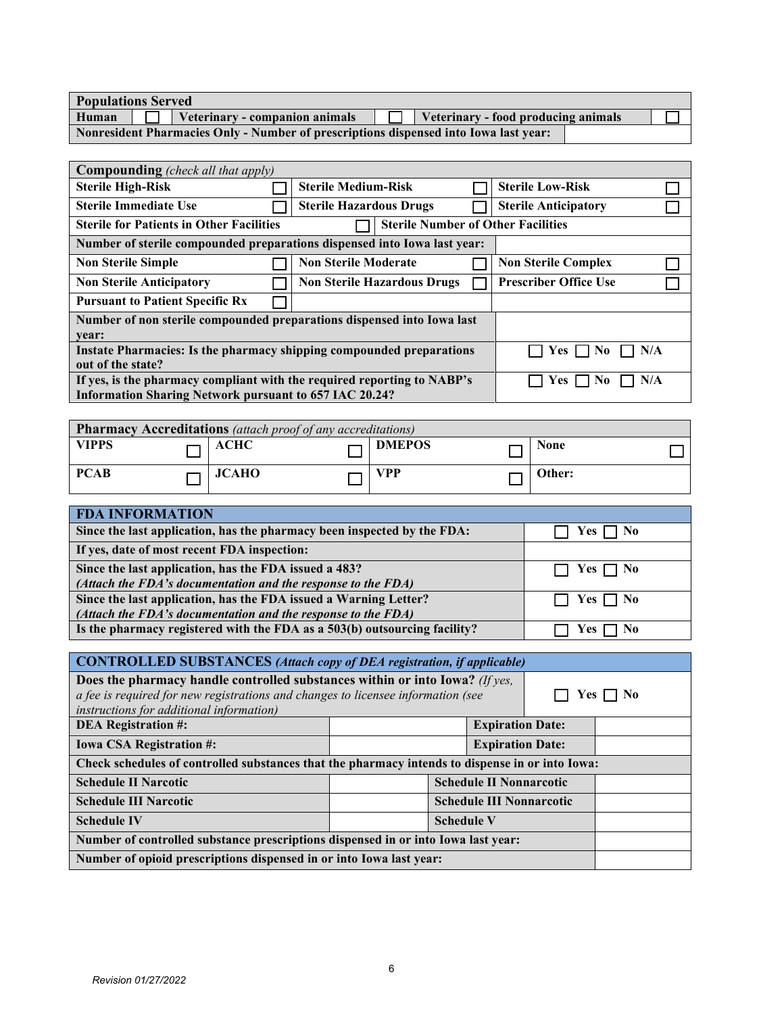| <b>Populations Served</b> |  |
|---------------------------|--|
|---------------------------|--|

| Human | Veterinary - companion animals                                                       | $\Box$ Veterinary - food producing animals |  |
|-------|--------------------------------------------------------------------------------------|--------------------------------------------|--|
|       | Nonresident Pharmacies Only - Number of prescriptions dispensed into Iowa last year: |                                            |  |

| <b>Compounding</b> (check all that apply)                                   |                     |                                           |  |                              |  |  |
|-----------------------------------------------------------------------------|---------------------|-------------------------------------------|--|------------------------------|--|--|
| <b>Sterile High-Risk</b>                                                    |                     | <b>Sterile Medium-Risk</b>                |  | <b>Sterile Low-Risk</b>      |  |  |
| <b>Sterile Immediate Use</b>                                                |                     | <b>Sterile Hazardous Drugs</b>            |  | <b>Sterile Anticipatory</b>  |  |  |
| <b>Sterile for Patients in Other Facilities</b>                             |                     | <b>Sterile Number of Other Facilities</b> |  |                              |  |  |
| Number of sterile compounded preparations dispensed into Iowa last year:    |                     |                                           |  |                              |  |  |
| <b>Non Sterile Simple</b>                                                   |                     | <b>Non Sterile Moderate</b>               |  | <b>Non Sterile Complex</b>   |  |  |
| <b>Non Sterile Anticipatory</b>                                             |                     | <b>Non Sterile Hazardous Drugs</b>        |  | <b>Prescriber Office Use</b> |  |  |
| <b>Pursuant to Patient Specific Rx</b>                                      |                     |                                           |  |                              |  |  |
| Number of non sterile compounded preparations dispensed into Iowa last      |                     |                                           |  |                              |  |  |
| vear:                                                                       |                     |                                           |  |                              |  |  |
| <b>Instate Pharmacies: Is the pharmacy shipping compounded preparations</b> | N/A<br>Yes 1<br>No. |                                           |  |                              |  |  |
| out of the state?                                                           |                     |                                           |  |                              |  |  |
| If yes, is the pharmacy compliant with the required reporting to NABP's     |                     | N/A<br><b>Yes</b><br>No.                  |  |                              |  |  |
| <b>Information Sharing Network pursuant to 657 IAC 20.24?</b>               |                     |                                           |  |                              |  |  |

| <b>Pharmacy Accreditations</b> (attach proof of any accreditations) |  |              |  |               |  |             |  |
|---------------------------------------------------------------------|--|--------------|--|---------------|--|-------------|--|
| <b>VIPPS</b>                                                        |  | ACHC         |  | <b>DMEPOS</b> |  | <b>None</b> |  |
| <b>PCAB</b>                                                         |  | <b>JCAHO</b> |  | <b>VPP</b>    |  | Other:      |  |

| <b>FDA INFORMATION</b>                                                    |                      |
|---------------------------------------------------------------------------|----------------------|
| Since the last application, has the pharmacy been inspected by the FDA:   | Yes $\Box$ No        |
| If yes, date of most recent FDA inspection:                               |                      |
| Since the last application, has the FDA issued a 483?                     | $\Box$ Yes $\Box$ No |
| (Attach the FDA's documentation and the response to the FDA)              |                      |
| Since the last application, has the FDA issued a Warning Letter?          | $\Box$ Yes $\Box$ No |
| (Attach the FDA's documentation and the response to the FDA)              |                      |
| Is the pharmacy registered with the FDA as a 503(b) outsourcing facility? | Y es                 |

| <b>CONTROLLED SUBSTANCES</b> (Attach copy of DEA registration, if applicable)                   |                         |  |                         |       |  |  |
|-------------------------------------------------------------------------------------------------|-------------------------|--|-------------------------|-------|--|--|
| Does the pharmacy handle controlled substances within or into Iowa? (If yes,                    |                         |  |                         |       |  |  |
| a fee is required for new registrations and changes to licensee information (see                |                         |  |                         | Yes 1 |  |  |
| instructions for additional information)                                                        |                         |  |                         |       |  |  |
| <b>DEA Registration #:</b>                                                                      |                         |  | <b>Expiration Date:</b> |       |  |  |
| <b>Iowa CSA Registration #:</b>                                                                 | <b>Expiration Date:</b> |  |                         |       |  |  |
| Check schedules of controlled substances that the pharmacy intends to dispense in or into Iowa: |                         |  |                         |       |  |  |
| <b>Schedule II Narcotic</b><br><b>Schedule II Nonnarcotic</b>                                   |                         |  |                         |       |  |  |
| <b>Schedule III Narcotic</b><br><b>Schedule III Nonnarcotic</b>                                 |                         |  |                         |       |  |  |
| <b>Schedule IV</b>                                                                              |                         |  |                         |       |  |  |
| Number of controlled substance prescriptions dispensed in or into Iowa last year:               |                         |  |                         |       |  |  |
| Number of opioid prescriptions dispensed in or into Iowa last year:                             |                         |  |                         |       |  |  |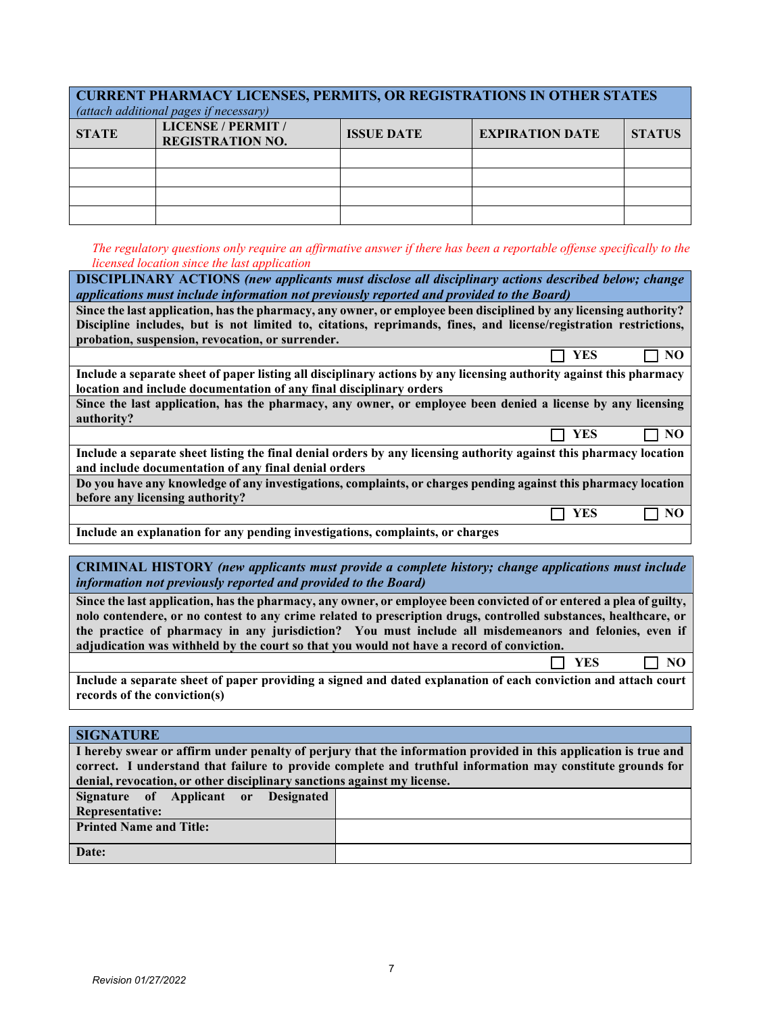| <b>CURRENT PHARMACY LICENSES, PERMITS, OR REGISTRATIONS IN OTHER STATES</b><br>(attach additional pages if necessary) |                                                      |                   |                        |               |  |  |  |
|-----------------------------------------------------------------------------------------------------------------------|------------------------------------------------------|-------------------|------------------------|---------------|--|--|--|
| <b>STATE</b>                                                                                                          | <b>LICENSE / PERMIT /</b><br><b>REGISTRATION NO.</b> | <b>ISSUE DATE</b> | <b>EXPIRATION DATE</b> | <b>STATUS</b> |  |  |  |
|                                                                                                                       |                                                      |                   |                        |               |  |  |  |
|                                                                                                                       |                                                      |                   |                        |               |  |  |  |
|                                                                                                                       |                                                      |                   |                        |               |  |  |  |
|                                                                                                                       |                                                      |                   |                        |               |  |  |  |

*The regulatory questions only require an affirmative answer if there has been a reportable offense specifically to the licensed location since the last application*

| <b>DISCIPLINARY ACTIONS</b> (new applicants must disclose all disciplinary actions described below; change<br>applications must include information not previously reported and provided to the Board) |
|--------------------------------------------------------------------------------------------------------------------------------------------------------------------------------------------------------|
| Since the last application, has the pharmacy, any owner, or employee been disciplined by any licensing authority?                                                                                      |
| Discipline includes, but is not limited to, citations, reprimands, fines, and license/registration restrictions,                                                                                       |
| probation, suspension, revocation, or surrender.                                                                                                                                                       |
| YES<br>NO                                                                                                                                                                                              |
| Include a separate sheet of paper listing all disciplinary actions by any licensing authority against this pharmacy                                                                                    |
| location and include documentation of any final disciplinary orders                                                                                                                                    |
| Since the last application, has the pharmacy, any owner, or employee been denied a license by any licensing                                                                                            |
| authority?                                                                                                                                                                                             |
| YES<br>NO.                                                                                                                                                                                             |
|                                                                                                                                                                                                        |
| Include a separate sheet listing the final denial orders by any licensing authority against this pharmacy location                                                                                     |
| and include documentation of any final denial orders                                                                                                                                                   |
| Do you have any knowledge of any investigations, complaints, or charges pending against this pharmacy location                                                                                         |
| before any licensing authority?                                                                                                                                                                        |
| YES                                                                                                                                                                                                    |
| Include an explanation for any pending investigations, complaints, or charges                                                                                                                          |

**CRIMINAL HISTORY** *(new applicants must provide a complete history; change applications must include information not previously reported and provided to the Board)*

**Since the last application, has the pharmacy, any owner, or employee been convicted of or entered a plea of guilty, nolo contendere, or no contest to any crime related to prescription drugs, controlled substances, healthcare, or the practice of pharmacy in any jurisdiction? You must include all misdemeanors and felonies, even if adjudication was withheld by the court so that you would not have a record of conviction.** 

**NO** YES **NO** 

**Include a separate sheet of paper providing a signed and dated explanation of each conviction and attach court records of the conviction(s)**

**SIGNATURE** 

| I hereby swear or affirm under penalty of perjury that the information provided in this application is true and |  |  |  |  |  |  |
|-----------------------------------------------------------------------------------------------------------------|--|--|--|--|--|--|
| correct. I understand that failure to provide complete and truthful information may constitute grounds for      |  |  |  |  |  |  |
| denial, revocation, or other disciplinary sanctions against my license.                                         |  |  |  |  |  |  |
| Signature of Applicant or Designated                                                                            |  |  |  |  |  |  |
| <b>Representative:</b>                                                                                          |  |  |  |  |  |  |
| <b>Printed Name and Title:</b>                                                                                  |  |  |  |  |  |  |
|                                                                                                                 |  |  |  |  |  |  |
| Date:                                                                                                           |  |  |  |  |  |  |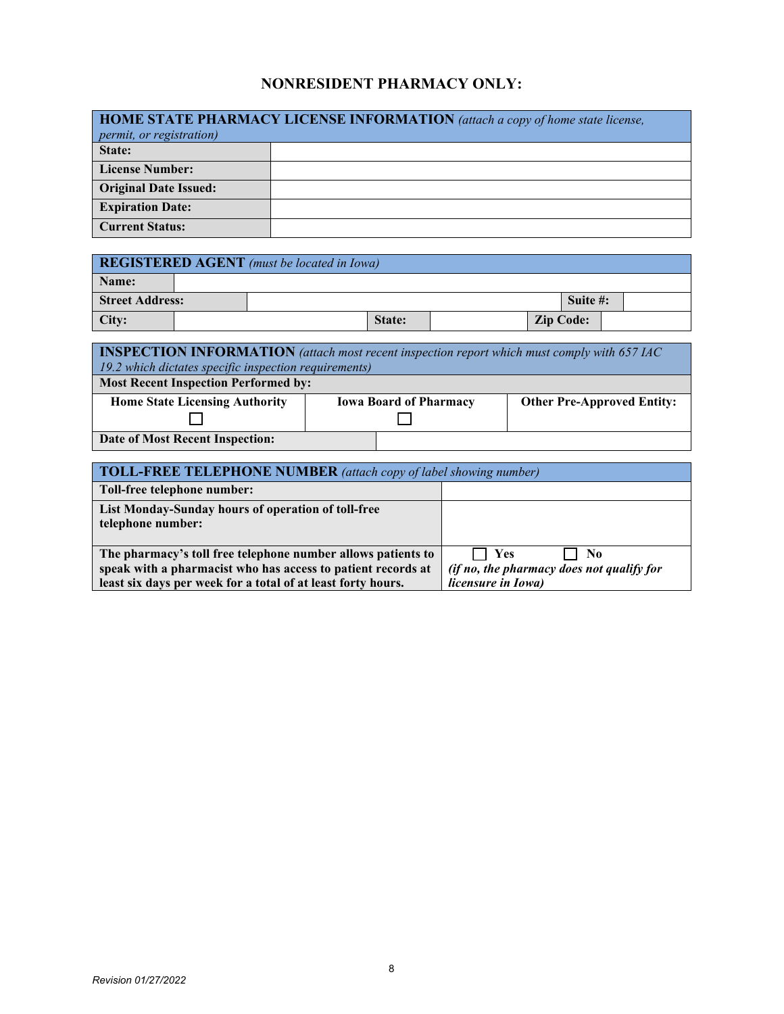## **NONRESIDENT PHARMACY ONLY:**

| <b>HOME STATE PHARMACY LICENSE INFORMATION</b> (attach a copy of home state license, |  |  |  |  |  |  |
|--------------------------------------------------------------------------------------|--|--|--|--|--|--|
| <i>permit, or registration)</i>                                                      |  |  |  |  |  |  |
| State:                                                                               |  |  |  |  |  |  |
| <b>License Number:</b>                                                               |  |  |  |  |  |  |
| <b>Original Date Issued:</b>                                                         |  |  |  |  |  |  |
| <b>Expiration Date:</b>                                                              |  |  |  |  |  |  |
| <b>Current Status:</b>                                                               |  |  |  |  |  |  |

| <b>REGISTERED AGENT</b> (must be located in Iowa) |  |  |        |  |                  |          |  |  |
|---------------------------------------------------|--|--|--------|--|------------------|----------|--|--|
| Name:                                             |  |  |        |  |                  |          |  |  |
| <b>Street Address:</b>                            |  |  |        |  |                  | Suite #: |  |  |
| City:                                             |  |  | State: |  | <b>Zip Code:</b> |          |  |  |

| <b>INSPECTION INFORMATION</b> (attach most recent inspection report which must comply with 657 IAC |  |                               |                                   |  |  |  |  |
|----------------------------------------------------------------------------------------------------|--|-------------------------------|-----------------------------------|--|--|--|--|
| 19.2 which dictates specific inspection requirements)                                              |  |                               |                                   |  |  |  |  |
| <b>Most Recent Inspection Performed by:</b>                                                        |  |                               |                                   |  |  |  |  |
| <b>Home State Licensing Authority</b>                                                              |  | <b>Iowa Board of Pharmacy</b> | <b>Other Pre-Approved Entity:</b> |  |  |  |  |
|                                                                                                    |  |                               |                                   |  |  |  |  |
| Date of Most Recent Inspection:                                                                    |  |                               |                                   |  |  |  |  |

| <b>TOLL-FREE TELEPHONE NUMBER</b> (attach copy of label showing number)                                                                                                                      |                                                                               |  |  |  |  |  |
|----------------------------------------------------------------------------------------------------------------------------------------------------------------------------------------------|-------------------------------------------------------------------------------|--|--|--|--|--|
| Toll-free telephone number:                                                                                                                                                                  |                                                                               |  |  |  |  |  |
| List Monday-Sunday hours of operation of toll-free<br>telephone number:                                                                                                                      |                                                                               |  |  |  |  |  |
| The pharmacy's toll free telephone number allows patients to<br>speak with a pharmacist who has access to patient records at<br>least six days per week for a total of at least forty hours. | Yes<br>No.<br>(if no, the pharmacy does not qualify for<br>licensure in Iowa) |  |  |  |  |  |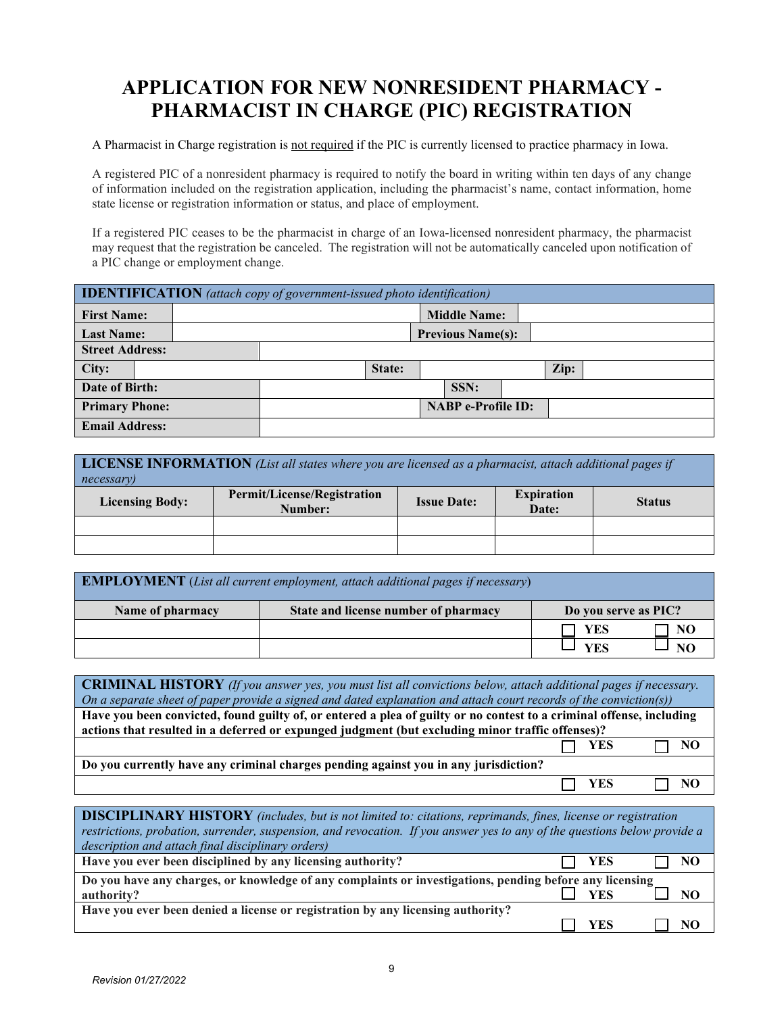# **APPLICATION FOR NEW NONRESIDENT PHARMACY - PHARMACIST IN CHARGE (PIC) REGISTRATION**

A Pharmacist in Charge registration is not required if the PIC is currently licensed to practice pharmacy in Iowa.

A registered PIC of a nonresident pharmacy is required to notify the board in writing within ten days of any change of information included on the registration application, including the pharmacist's name, contact information, home state license or registration information or status, and place of employment.

If a registered PIC ceases to be the pharmacist in charge of an Iowa-licensed nonresident pharmacy, the pharmacist may request that the registration be canceled. The registration will not be automatically canceled upon notification of a PIC change or employment change.

| <b>IDENTIFICATION</b> (attach copy of government-issued photo identification) |  |  |  |        |                           |                          |  |      |  |
|-------------------------------------------------------------------------------|--|--|--|--------|---------------------------|--------------------------|--|------|--|
| <b>First Name:</b>                                                            |  |  |  |        |                           | <b>Middle Name:</b>      |  |      |  |
| <b>Last Name:</b>                                                             |  |  |  |        |                           | <b>Previous Name(s):</b> |  |      |  |
| <b>Street Address:</b>                                                        |  |  |  |        |                           |                          |  |      |  |
| City:                                                                         |  |  |  | State: |                           |                          |  | Zip: |  |
| Date of Birth:                                                                |  |  |  |        |                           | SSN:                     |  |      |  |
| <b>Primary Phone:</b>                                                         |  |  |  |        | <b>NABP</b> e-Profile ID: |                          |  |      |  |
| <b>Email Address:</b>                                                         |  |  |  |        |                           |                          |  |      |  |

| <b>LICENSE INFORMATION</b> (List all states where you are licensed as a pharmacist, attach additional pages if<br>necessary) |                                                                                                             |  |  |  |  |  |  |  |
|------------------------------------------------------------------------------------------------------------------------------|-------------------------------------------------------------------------------------------------------------|--|--|--|--|--|--|--|
| <b>Licensing Body:</b>                                                                                                       | Permit/License/Registration<br><b>Expiration</b><br><b>Issue Date:</b><br><b>Status</b><br>Date:<br>Number: |  |  |  |  |  |  |  |
|                                                                                                                              |                                                                                                             |  |  |  |  |  |  |  |
|                                                                                                                              |                                                                                                             |  |  |  |  |  |  |  |

| <b>EMPLOYMENT</b> (List all current employment, attach additional pages if necessary) |                                      |                      |    |
|---------------------------------------------------------------------------------------|--------------------------------------|----------------------|----|
| Name of pharmacy                                                                      | State and license number of pharmacy | Do you serve as PIC? |    |
|                                                                                       |                                      | <b>YES</b>           | NO |
|                                                                                       |                                      | VFS                  |    |

**CRIMINAL HISTORY** *(If you answer yes, you must list all convictions below, attach additional pages if necessary. On a separate sheet of paper provide a signed and dated explanation and attach court records of the conviction(s))* **Have you been convicted, found guilty of, or entered a plea of guilty or no contest to a criminal offense, including actions that resulted in a deferred or expunged judgment (but excluding minor traffic offenses)?** YES  $\Box$  NO **Do you currently have any criminal charges pending against you in any jurisdiction?** YES  $\Box$  NO

### **DISCIPLINARY HISTORY** *(includes, but is not limited to: citations, reprimands, fines, license or registration restrictions, probation, surrender, suspension, and revocation. If you answer yes to any of the questions below provide a description and attach final disciplinary orders)* **Have you ever been disciplined by any licensing authority?**  $\Box$  **YES**  $\Box$  **NO Do you have any charges, or knowledge of any complaints or investigations, pending before any licensing authority?**  $\square$  **YES authority?**  $\Box$  **YES**  $\Box$  **NO Have you ever been denied a license or registration by any licensing authority?**  $\Box$  YES  $\Box$  NO